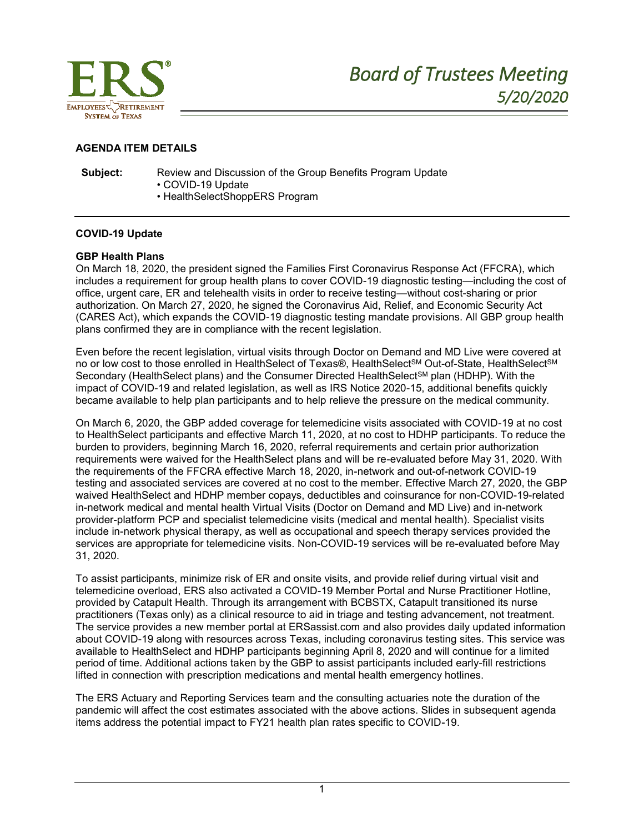

### **AGENDA ITEM DETAILS**

**Subject:** Review and Discussion of the Group Benefits Program Update • COVID-19 Update

• HealthSelectShoppERS Program

### **COVID-19 Update**

### **GBP Health Plans**

On March 18, 2020, the president signed the Families First Coronavirus Response Act (FFCRA), which includes a requirement for group health plans to cover COVID-19 diagnostic testing—including the cost of office, urgent care, ER and telehealth visits in order to receive testing—without cost-sharing or prior authorization. On March 27, 2020, he signed the Coronavirus Aid, Relief, and Economic Security Act (CARES Act), which expands the COVID-19 diagnostic testing mandate provisions. All GBP group health plans confirmed they are in compliance with the recent legislation.

Even before the recent legislation, virtual visits through Doctor on Demand and MD Live were covered at no or low cost to those enrolled in HealthSelect of Texas®, HealthSelect<sup>SM</sup> Out-of-State, HealthSelect<sup>SM</sup> Secondary (HealthSelect plans) and the Consumer Directed HealthSelect<sup>SM</sup> plan (HDHP). With the impact of COVID-19 and related legislation, as well as IRS Notice 2020-15, additional benefits quickly became available to help plan participants and to help relieve the pressure on the medical community.

On March 6, 2020, the GBP added coverage for telemedicine visits associated with COVID-19 at no cost to HealthSelect participants and effective March 11, 2020, at no cost to HDHP participants. To reduce the burden to providers, beginning March 16, 2020, referral requirements and certain prior authorization requirements were waived for the HealthSelect plans and will be re-evaluated before May 31, 2020. With the requirements of the FFCRA effective March 18, 2020, in-network and out-of-network COVID-19 testing and associated services are covered at no cost to the member. Effective March 27, 2020, the GBP waived HealthSelect and HDHP member copays, deductibles and coinsurance for non-COVID-19-related in-network medical and mental health Virtual Visits (Doctor on Demand and MD Live) and in-network provider-platform PCP and specialist telemedicine visits (medical and mental health). Specialist visits include in-network physical therapy, as well as occupational and speech therapy services provided the services are appropriate for telemedicine visits. Non-COVID-19 services will be re-evaluated before May 31, 2020.

To assist participants, minimize risk of ER and onsite visits, and provide relief during virtual visit and telemedicine overload, ERS also activated a COVID-19 Member Portal and Nurse Practitioner Hotline, provided by Catapult Health. Through its arrangement with BCBSTX, Catapult transitioned its nurse practitioners (Texas only) as a clinical resource to aid in triage and testing advancement, not treatment. The service provides a new member portal at ERSassist.com and also provides daily updated information about COVID-19 along with resources across Texas, including coronavirus testing sites. This service was available to HealthSelect and HDHP participants beginning April 8, 2020 and will continue for a limited period of time. Additional actions taken by the GBP to assist participants included early-fill restrictions lifted in connection with prescription medications and mental health emergency hotlines.

The ERS Actuary and Reporting Services team and the consulting actuaries note the duration of the pandemic will affect the cost estimates associated with the above actions. Slides in subsequent agenda items address the potential impact to FY21 health plan rates specific to COVID-19.

1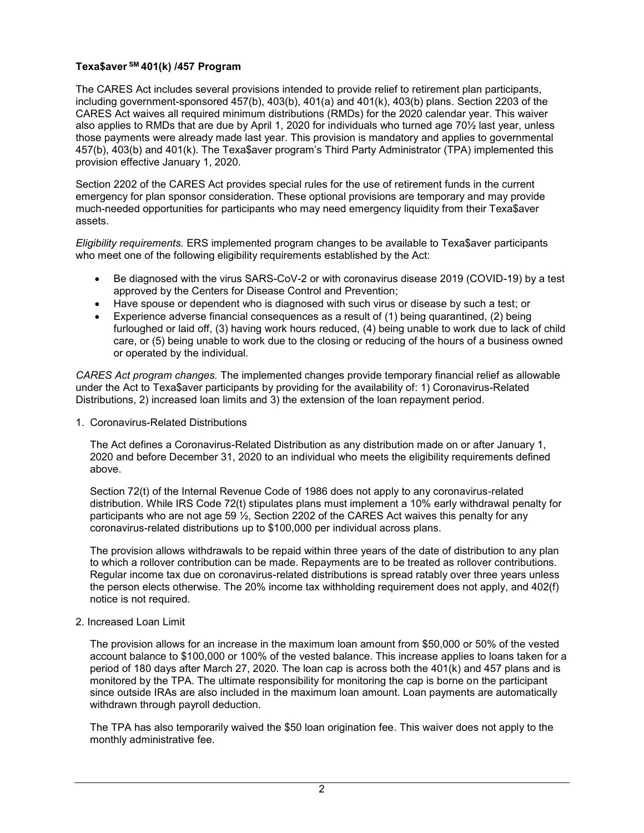# **Texa\$aver SM 401(k) /457 Program**

The CARES Act includes several provisions intended to provide relief to retirement plan participants, including government-sponsored 457(b), 403(b), 401(a) and 401(k), 403(b) plans. Section 2203 of the CARES Act waives all required minimum distributions (RMDs) for the 2020 calendar year. This waiver also applies to RMDs that are due by April 1, 2020 for individuals who turned age 70½ last year, unless those payments were already made last year. This provision is mandatory and applies to governmental 457(b), 403(b) and 401(k). The Texa\$aver program's Third Party Administrator (TPA) implemented this provision effective January 1, 2020.

Section 2202 of the CARES Act provides special rules for the use of retirement funds in the current emergency for plan sponsor consideration. These optional provisions are temporary and may provide much-needed opportunities for participants who may need emergency liquidity from their Texa\$aver assets.

*Eligibility requirements.* ERS implemented program changes to be available to Texa\$aver participants who meet one of the following eligibility requirements established by the Act:

- Be diagnosed with the virus SARS-CoV-2 or with coronavirus disease 2019 (COVID-19) by a test approved by the Centers for Disease Control and Prevention;
- Have spouse or dependent who is diagnosed with such virus or disease by such a test; or
- Experience adverse financial consequences as a result of (1) being quarantined, (2) being furloughed or laid off, (3) having work hours reduced, (4) being unable to work due to lack of child care, or (5) being unable to work due to the closing or reducing of the hours of a business owned or operated by the individual.

*CARES Act program changes.* The implemented changes provide temporary financial relief as allowable under the Act to Texa\$aver participants by providing for the availability of: 1) Coronavirus-Related Distributions, 2) increased loan limits and 3) the extension of the loan repayment period.

1. Coronavirus-Related Distributions

The Act defines a Coronavirus-Related Distribution as any distribution made on or after January 1, 2020 and before December 31, 2020 to an individual who meets the eligibility requirements defined above.

Section 72(t) of the Internal Revenue Code of 1986 does not apply to any coronavirus-related distribution. While IRS Code 72(t) stipulates plans must implement a 10% early withdrawal penalty for participants who are not age 59  $\frac{1}{2}$ , Section 2202 of the CARES Act waives this penalty for any coronavirus-related distributions up to \$100,000 per individual across plans.

The provision allows withdrawals to be repaid within three years of the date of distribution to any plan to which a rollover contribution can be made. Repayments are to be treated as rollover contributions. Regular income tax due on coronavirus-related distributions is spread ratably over three years unless the person elects otherwise. The 20% income tax withholding requirement does not apply, and 402(f) notice is not required.

## 2. Increased Loan Limit

The provision allows for an increase in the maximum loan amount from \$50,000 or 50% of the vested account balance to \$100,000 or 100% of the vested balance. This increase applies to loans taken for a period of 180 days after March 27, 2020. The loan cap is across both the 401(k) and 457 plans and is monitored by the TPA. The ultimate responsibility for monitoring the cap is borne on the participant since outside IRAs are also included in the maximum loan amount. Loan payments are automatically withdrawn through payroll deduction.

The TPA has also temporarily waived the \$50 loan origination fee. This waiver does not apply to the monthly administrative fee.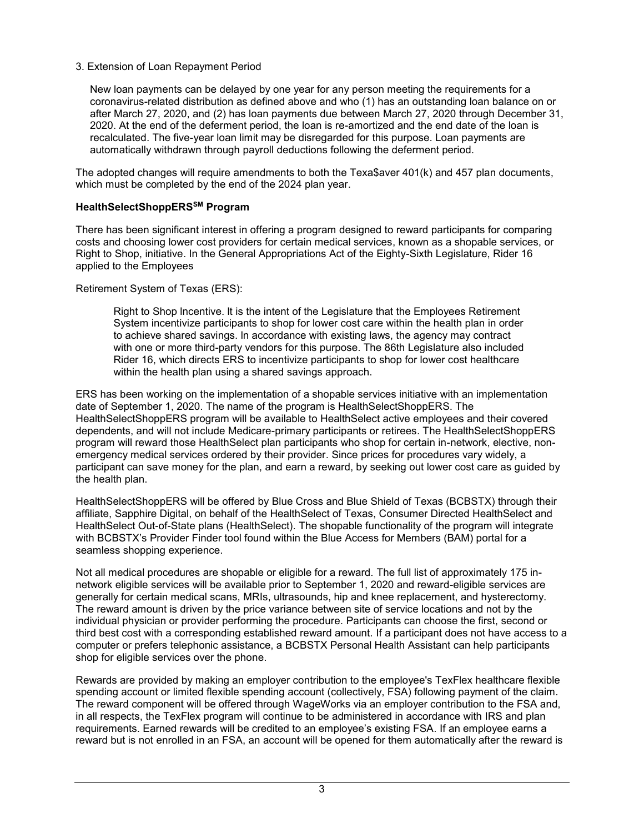# 3. Extension of Loan Repayment Period

New loan payments can be delayed by one year for any person meeting the requirements for a coronavirus-related distribution as defined above and who (1) has an outstanding loan balance on or after March 27, 2020, and (2) has loan payments due between March 27, 2020 through December 31, 2020. At the end of the deferment period, the loan is re-amortized and the end date of the loan is recalculated. The five-year loan limit may be disregarded for this purpose. Loan payments are automatically withdrawn through payroll deductions following the deferment period.

The adopted changes will require amendments to both the Texa\$aver 401(k) and 457 plan documents, which must be completed by the end of the 2024 plan year.

# **HealthSelectShoppERSSM Program**

There has been significant interest in offering a program designed to reward participants for comparing costs and choosing lower cost providers for certain medical services, known as a shopable services, or Right to Shop, initiative. In the General Appropriations Act of the Eighty-Sixth Legislature, Rider 16 applied to the Employees

Retirement System of Texas (ERS):

Right to Shop lncentive. lt is the intent of the Legislature that the Employees Retirement System incentivize participants to shop for lower cost care within the health plan in order to achieve shared savings. ln accordance with existing laws, the agency may contract with one or more third-party vendors for this purpose. The 86th Legislature also included Rider 16, which directs ERS to incentivize participants to shop for lower cost healthcare within the health plan using a shared savings approach.

ERS has been working on the implementation of a shopable services initiative with an implementation date of September 1, 2020. The name of the program is HealthSelectShoppERS. The HealthSelectShoppERS program will be available to HealthSelect active employees and their covered dependents, and will not include Medicare-primary participants or retirees. The HealthSelectShoppERS program will reward those HealthSelect plan participants who shop for certain in-network, elective, nonemergency medical services ordered by their provider. Since prices for procedures vary widely, a participant can save money for the plan, and earn a reward, by seeking out lower cost care as guided by the health plan.

HealthSelectShoppERS will be offered by Blue Cross and Blue Shield of Texas (BCBSTX) through their affiliate, Sapphire Digital, on behalf of the HealthSelect of Texas, Consumer Directed HealthSelect and HealthSelect Out-of-State plans (HealthSelect). The shopable functionality of the program will integrate with BCBSTX's Provider Finder tool found within the Blue Access for Members (BAM) portal for a seamless shopping experience.

Not all medical procedures are shopable or eligible for a reward. The full list of approximately 175 innetwork eligible services will be available prior to September 1, 2020 and reward-eligible services are generally for certain medical scans, MRIs, ultrasounds, hip and knee replacement, and hysterectomy. The reward amount is driven by the price variance between site of service locations and not by the individual physician or provider performing the procedure. Participants can choose the first, second or third best cost with a corresponding established reward amount. If a participant does not have access to a computer or prefers telephonic assistance, a BCBSTX Personal Health Assistant can help participants shop for eligible services over the phone.

Rewards are provided by making an employer contribution to the employee's TexFlex healthcare flexible spending account or limited flexible spending account (collectively, FSA) following payment of the claim. The reward component will be offered through WageWorks via an employer contribution to the FSA and, in all respects, the TexFlex program will continue to be administered in accordance with IRS and plan requirements. Earned rewards will be credited to an employee's existing FSA. If an employee earns a reward but is not enrolled in an FSA, an account will be opened for them automatically after the reward is